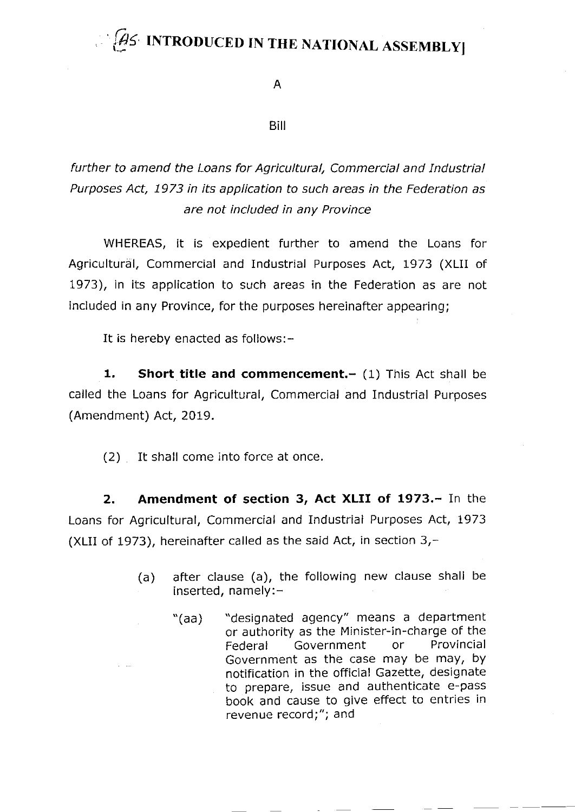## $\widehat{H}$ S INTRODUCED IN THE NATIONAL ASSEMBLY

A

Biil

further to amend the Loans for Agricultural, Commercial and Industrial Purposes Act, 1973 in its application to such areas in the Federation as are not included in any Province

WHEREAS, it is expedient further to amend the Loans for Agricultural, Commercial and Industrial Purposes Act, 1973 (XLII of 1973), in its application to such areas in the Federation as are not included in any Province, for the purposes hereinafter appearing;

It is hereby enacted as follows: -

1. Short title and commencement. $-$  (1) This Act shall be called the Loans for Agricultural, Commercial and Industrial Purposes (Amendment) Act, 2019.

(2) It shall come into force at once.

2. Amendment of section 3, Act XLII of 1973.- In the Loans for Agricultural, Commercial and Industrial Purposes Act, 1973 (XLII of 1973), hereinafter called as the said Act, in section  $3<sub>r</sub>$ -

- (a) after clause (a), the following new clause shall be inserted, namely:-
	- "(aa) "designated agency" means a department or authority as the Minister-in-charge of the<br>Federal Government or Provincial Federal Government Government as the case may be maY, bY notification in the official Gazette, designate to prepare, issue and authenticate e-pass book and cause to give effect to entries in revenue record;"; and